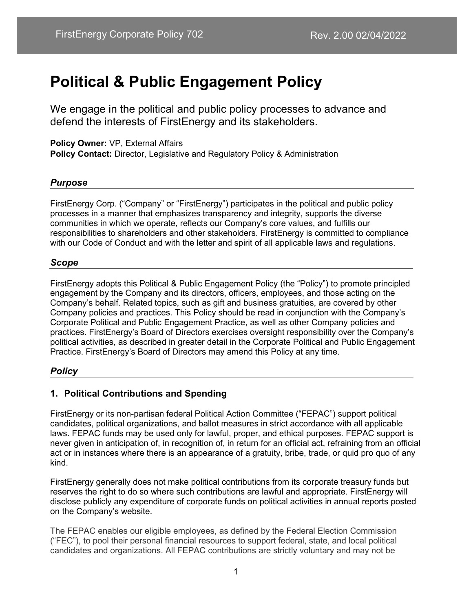# **Political & Public Engagement Policy**

We engage in the political and public policy processes to advance and defend the interests of FirstEnergy and its stakeholders.

**Policy Owner:** VP, External Affairs **Policy Contact:** Director, Legislative and Regulatory Policy & Administration

#### *Purpose*

FirstEnergy Corp. ("Company" or "FirstEnergy") participates in the political and public policy processes in a manner that emphasizes transparency and integrity, supports the diverse communities in which we operate, reflects our Company's core values, and fulfills our responsibilities to shareholders and other stakeholders. FirstEnergy is committed to compliance with our Code of Conduct and with the letter and spirit of all applicable laws and regulations.

#### *Scope*

FirstEnergy adopts this Political & Public Engagement Policy (the "Policy") to promote principled engagement by the Company and its directors, officers, employees, and those acting on the Company's behalf. Related topics, such as gift and business gratuities, are covered by other Company policies and practices. This Policy should be read in conjunction with the Company's Corporate Political and Public Engagement Practice, as well as other Company policies and practices. FirstEnergy's Board of Directors exercises oversight responsibility over the Company's political activities, as described in greater detail in the Corporate Political and Public Engagement Practice. FirstEnergy's Board of Directors may amend this Policy at any time.

## *Policy*

# **1. Political Contributions and Spending**

FirstEnergy or its non-partisan federal Political Action Committee ("FEPAC") support political candidates, political organizations, and ballot measures in strict accordance with all applicable laws. FEPAC funds may be used only for lawful, proper, and ethical purposes. FEPAC support is never given in anticipation of, in recognition of, in return for an official act, refraining from an official act or in instances where there is an appearance of a gratuity, bribe, trade, or quid pro quo of any kind.

FirstEnergy generally does not make political contributions from its corporate treasury funds but reserves the right to do so where such contributions are lawful and appropriate. FirstEnergy will disclose publicly any expenditure of corporate funds on political activities in annual reports posted on the Company's website.

The FEPAC enables our eligible employees, as defined by the Federal Election Commission ("FEC"), to pool their personal financial resources to support federal, state, and local political candidates and organizations. All FEPAC contributions are strictly voluntary and may not be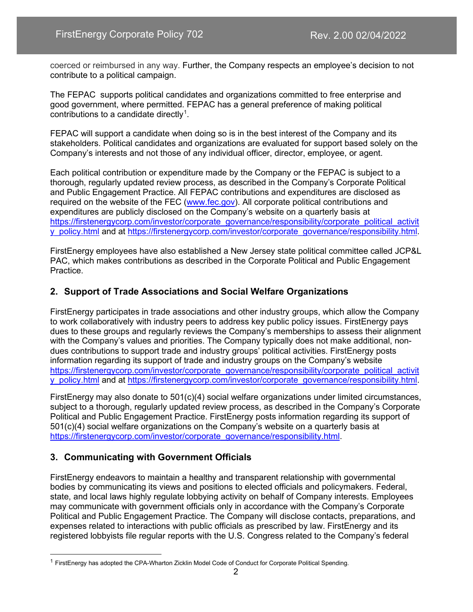coerced or reimbursed in any way. Further, the Company respects an employee's decision to not contribute to a political campaign.

The FEPAC supports political candidates and organizations committed to free enterprise and good government, where permitted. FEPAC has a general preference of making political contributions to a candidate directly<sup>[1](#page-1-0)</sup>.

FEPAC will support a candidate when doing so is in the best interest of the Company and its stakeholders. Political candidates and organizations are evaluated for support based solely on the Company's interests and not those of any individual officer, director, employee, or agent.

Each political contribution or expenditure made by the Company or the FEPAC is subject to a thorough, regularly updated review process, as described in the Company's Corporate Political and Public Engagement Practice. All FEPAC contributions and expenditures are disclosed as required on the website of the FEC [\(www.fec.gov\)](http://www.fec.gov/). All corporate political contributions and expenditures are publicly disclosed on the Company's website on a quarterly basis at [https://firstenergycorp.com/investor/corporate\\_governance/responsibility/corporate\\_political\\_activit](https://firstenergycorp.com/investor/corporate_governance/responsibility/corporate_political_activity_policy.html) [y\\_policy.html](https://firstenergycorp.com/investor/corporate_governance/responsibility/corporate_political_activity_policy.html) and at [https://firstenergycorp.com/investor/corporate\\_governance/responsibility.html.](https://firstenergycorp.com/investor/corporate_governance/responsibility.html)

FirstEnergy employees have also established a New Jersey state political committee called JCP&L PAC, which makes contributions as described in the Corporate Political and Public Engagement Practice.

## **2. Support of Trade Associations and Social Welfare Organizations**

FirstEnergy participates in trade associations and other industry groups, which allow the Company to work collaboratively with industry peers to address key public policy issues. FirstEnergy pays dues to these groups and regularly reviews the Company's memberships to assess their alignment with the Company's values and priorities. The Company typically does not make additional, nondues contributions to support trade and industry groups' political activities. FirstEnergy posts information regarding its support of trade and industry groups on the Company's website [https://firstenergycorp.com/investor/corporate\\_governance/responsibility/corporate\\_political\\_activit](https://firstenergycorp.com/investor/corporate_governance/responsibility/corporate_political_activity_policy.html) [y\\_policy.html](https://firstenergycorp.com/investor/corporate_governance/responsibility/corporate_political_activity_policy.html) and at [https://firstenergycorp.com/investor/corporate\\_governance/responsibility.html.](https://firstenergycorp.com/investor/corporate_governance/responsibility.html)

FirstEnergy may also donate to 501(c)(4) social welfare organizations under limited circumstances, subject to a thorough, regularly updated review process, as described in the Company's Corporate Political and Public Engagement Practice. FirstEnergy posts information regarding its support of 501(c)(4) social welfare organizations on the Company's website on a quarterly basis at [https://firstenergycorp.com/investor/corporate\\_governance/responsibility.html.](https://firstenergycorp.com/investor/corporate_governance/responsibility.html)

## **3. Communicating with Government Officials**

FirstEnergy endeavors to maintain a healthy and transparent relationship with governmental bodies by communicating its views and positions to elected officials and policymakers. Federal, state, and local laws highly regulate lobbying activity on behalf of Company interests. Employees may communicate with government officials only in accordance with the Company's Corporate Political and Public Engagement Practice. The Company will disclose contacts, preparations, and expenses related to interactions with public officials as prescribed by law. FirstEnergy and its registered lobbyists file regular reports with the U.S. Congress related to the Company's federal

<span id="page-1-0"></span><sup>&</sup>lt;sup>1</sup> FirstEnergy has adopted the CPA-Wharton Zicklin Model Code of Conduct for Corporate Political Spending.